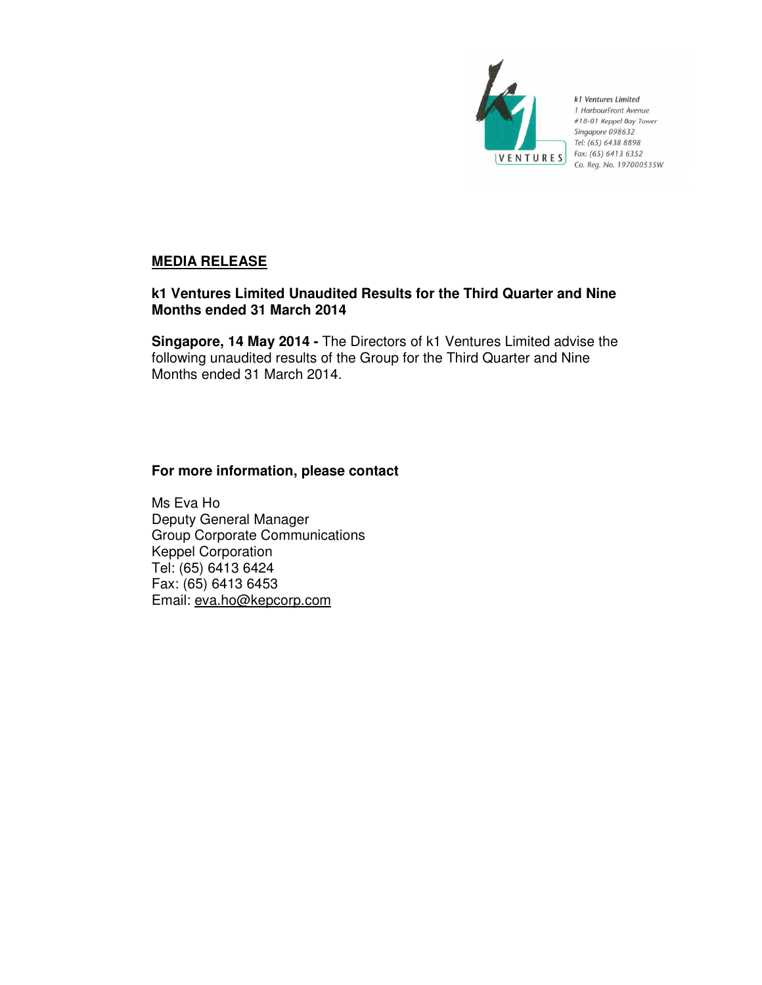

k1 Ventures Limited 1 HarbourFront Avenue #18-01 Keppel Bay Tower Singapore 098632 Tel: (65) 6438 8898 Fax: (65) 6413 6352 Co. Reg. No. 197000535W

## **MEDIA RELEASE**

## **k1 Ventures Limited Unaudited Results for the Third Quarter and Nine Months ended 31 March 2014**

**Singapore, 14 May 2014 -** The Directors of k1 Ventures Limited advise the following unaudited results of the Group for the Third Quarter and Nine Months ended 31 March 2014.

## **For more information, please contact**

Ms Eva Ho Deputy General Manager Group Corporate Communications Keppel Corporation Tel: (65) 6413 6424 Fax: (65) 6413 6453 Email: eva.ho@kepcorp.com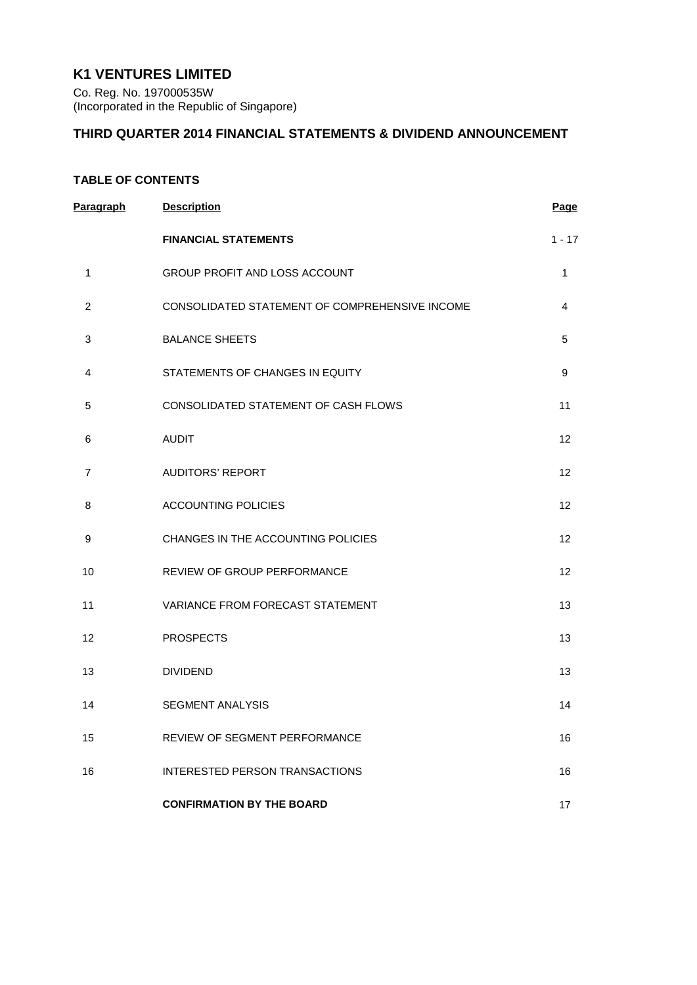# **K1 VENTURES LIMITED**

Co. Reg. No. 197000535W (Incorporated in the Republic of Singapore)

## **THIRD QUARTER 2014 FINANCIAL STATEMENTS & DIVIDEND ANNOUNCEMENT**

## **TABLE OF CONTENTS**

| Paragraph      | <b>Description</b>                             | Page              |
|----------------|------------------------------------------------|-------------------|
|                | <b>FINANCIAL STATEMENTS</b>                    | $1 - 17$          |
| 1              | GROUP PROFIT AND LOSS ACCOUNT                  | $\mathbf{1}$      |
| $\overline{2}$ | CONSOLIDATED STATEMENT OF COMPREHENSIVE INCOME | 4                 |
| 3              | <b>BALANCE SHEETS</b>                          | 5                 |
| 4              | STATEMENTS OF CHANGES IN EQUITY                | 9                 |
| 5              | CONSOLIDATED STATEMENT OF CASH FLOWS           | 11                |
| 6              | <b>AUDIT</b>                                   | 12                |
| 7              | <b>AUDITORS' REPORT</b>                        | $12 \overline{ }$ |
| 8              | <b>ACCOUNTING POLICIES</b>                     | 12                |
| 9              | CHANGES IN THE ACCOUNTING POLICIES             | 12                |
| 10             | REVIEW OF GROUP PERFORMANCE                    | 12                |
| 11             | VARIANCE FROM FORECAST STATEMENT               | 13                |
| 12             | <b>PROSPECTS</b>                               | 13                |
| 13             | <b>DIVIDEND</b>                                | 13                |
| 14             | <b>SEGMENT ANALYSIS</b>                        | 14                |
| 15             | REVIEW OF SEGMENT PERFORMANCE                  | 16                |
| 16             | <b>INTERESTED PERSON TRANSACTIONS</b>          | 16                |
|                | <b>CONFIRMATION BY THE BOARD</b>               | 17                |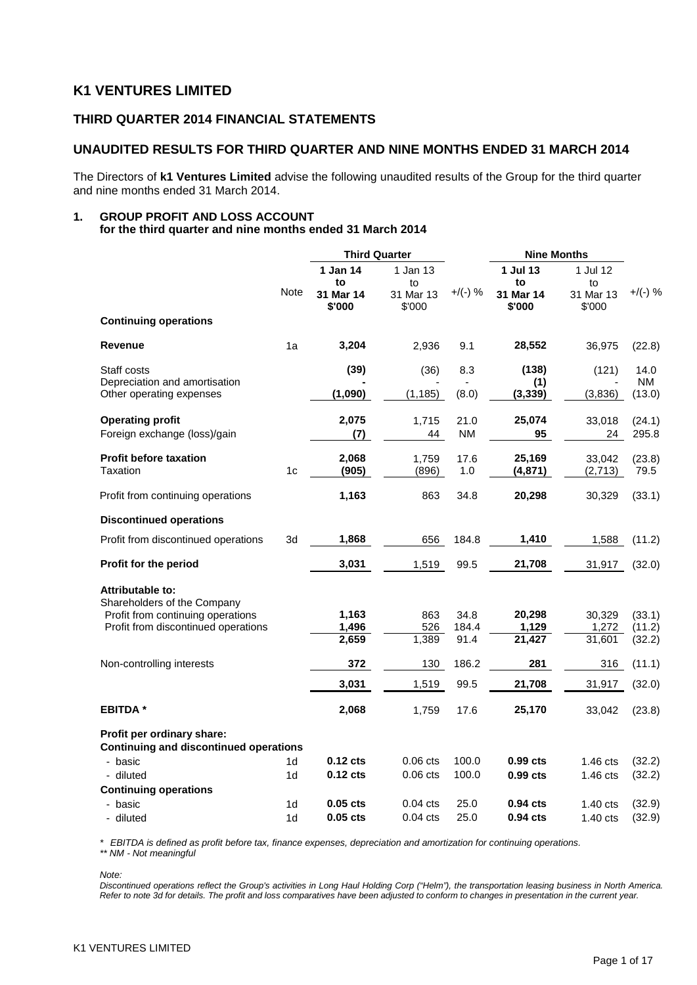# **K1 VENTURES LIMITED**

## **THIRD QUARTER 2014 FINANCIAL STATEMENTS**

## **UNAUDITED RESULTS FOR THIRD QUARTER AND NINE MONTHS ENDED 31 MARCH 2014**

The Directors of **k1 Ventures Limited** advise the following unaudited results of the Group for the third quarter and nine months ended 31 March 2014.

#### **1. GROUP PROFIT AND LOSS ACCOUNT for the third quarter and nine months ended 31 March 2014**

|                                                                             |                | <b>Third Quarter</b>      |                           |             | <b>Nine Months</b>        |                           |                     |
|-----------------------------------------------------------------------------|----------------|---------------------------|---------------------------|-------------|---------------------------|---------------------------|---------------------|
|                                                                             |                | 1 Jan 14                  | 1 Jan 13                  |             | 1 Jul 13                  | 1 Jul 12                  |                     |
|                                                                             | Note           | to<br>31 Mar 14<br>\$'000 | to<br>31 Mar 13<br>\$'000 | $+$ /(-) %  | to<br>31 Mar 14<br>\$'000 | to<br>31 Mar 13<br>\$'000 | $+$ /(-) %          |
| <b>Continuing operations</b>                                                |                |                           |                           |             |                           |                           |                     |
| Revenue                                                                     | 1a             | 3,204                     | 2,936                     | 9.1         | 28,552                    | 36,975                    | (22.8)              |
| Staff costs                                                                 |                | (39)                      | (36)                      | 8.3         | (138)                     | (121)                     | 14.0                |
| Depreciation and amortisation<br>Other operating expenses                   |                | (1,090)                   | (1, 185)                  | (8.0)       | (1)<br>(3, 339)           | (3,836)                   | <b>NM</b><br>(13.0) |
| <b>Operating profit</b>                                                     |                | 2,075                     | 1,715                     | 21.0        | 25,074                    | 33,018                    | (24.1)              |
| Foreign exchange (loss)/gain                                                |                | (7)                       | 44                        | <b>NM</b>   | 95                        | 24                        | 295.8               |
| <b>Profit before taxation</b><br>Taxation                                   | 1c             | 2,068<br>(905)            | 1,759<br>(896)            | 17.6<br>1.0 | 25,169<br>(4, 871)        | 33,042<br>(2,713)         | (23.8)<br>79.5      |
| Profit from continuing operations                                           |                | 1,163                     | 863                       | 34.8        | 20,298                    | 30,329                    | (33.1)              |
| <b>Discontinued operations</b>                                              |                |                           |                           |             |                           |                           |                     |
| Profit from discontinued operations                                         | 3d             | 1,868                     | 656                       | 184.8       | 1,410                     | 1,588                     | (11.2)              |
| Profit for the period                                                       |                | 3,031                     | 1,519                     | 99.5        | 21,708                    | 31,917                    | (32.0)              |
| <b>Attributable to:</b>                                                     |                |                           |                           |             |                           |                           |                     |
| Shareholders of the Company<br>Profit from continuing operations            |                | 1,163                     | 863                       | 34.8        | 20,298                    | 30,329                    | (33.1)              |
| Profit from discontinued operations                                         |                | 1,496                     | 526                       | 184.4       | 1,129                     | 1,272                     | (11.2)              |
|                                                                             |                | 2,659                     | 1,389                     | 91.4        | 21,427                    | 31,601                    | (32.2)              |
| Non-controlling interests                                                   |                | 372                       | 130                       | 186.2       | 281                       | 316                       | (11.1)              |
|                                                                             |                | 3,031                     | 1,519                     | 99.5        | 21,708                    | 31,917                    | (32.0)              |
| <b>EBITDA</b> *                                                             |                | 2,068                     | 1,759                     | 17.6        | 25,170                    | 33,042                    | (23.8)              |
| Profit per ordinary share:<br><b>Continuing and discontinued operations</b> |                |                           |                           |             |                           |                           |                     |
| - basic                                                                     | 1d             | $0.12$ cts                | $0.06$ cts                | 100.0       | 0.99 cts                  | $1.46$ cts                | (32.2)              |
| - diluted                                                                   | 1d             | $0.12$ cts                | $0.06$ cts                | 100.0       | $0.99$ cts                | $1.46$ cts                | (32.2)              |
| <b>Continuing operations</b>                                                |                |                           |                           |             |                           |                           |                     |
| - basic                                                                     | 1d             | 0.05 cts                  | $0.04$ cts                | 25.0        | 0.94 <sub>cts</sub>       | $1.40 \text{ cts}$        | (32.9)              |
| - diluted                                                                   | 1 <sub>d</sub> | $0.05$ cts                | $0.04$ cts                | 25.0        | 0.94 <sub>cts</sub>       | $1.40$ cts                | (32.9)              |

*\* EBITDA is defined as profit before tax, finance expenses, depreciation and amortization for continuing operations. \*\* NM - Not meaningful*

*Note:* 

*Discontinued operations reflect the Group's activities in Long Haul Holding Corp ("Helm"), the transportation leasing business in North America. Refer to note 3d for details. The profit and loss comparatives have been adjusted to conform to changes in presentation in the current year.*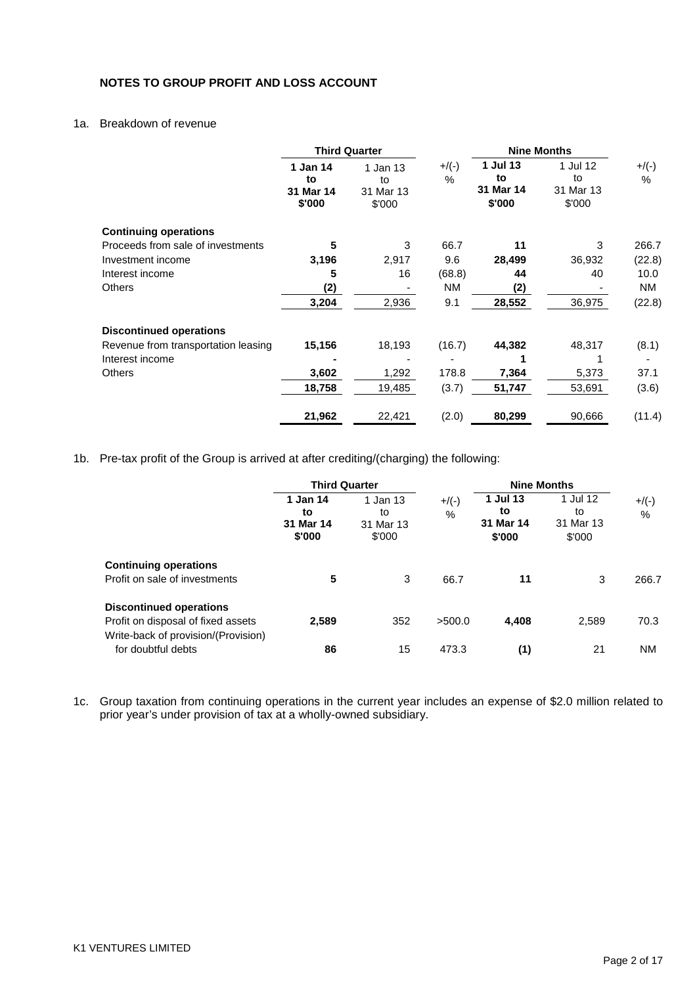## **NOTES TO GROUP PROFIT AND LOSS ACCOUNT**

## 1a. Breakdown of revenue

|                                     |                                       | <b>Third Quarter</b>                  |               | <b>Nine Months</b>                    |                                       |                 |
|-------------------------------------|---------------------------------------|---------------------------------------|---------------|---------------------------------------|---------------------------------------|-----------------|
|                                     | 1 Jan 14<br>to<br>31 Mar 14<br>\$'000 | 1 Jan 13<br>to<br>31 Mar 13<br>\$'000 | $+$ /(-)<br>% | 1 Jul 13<br>to<br>31 Mar 14<br>\$'000 | 1 Jul 12<br>to<br>31 Mar 13<br>\$'000 | $+/(-)$<br>$\%$ |
| <b>Continuing operations</b>        |                                       |                                       |               |                                       |                                       |                 |
| Proceeds from sale of investments   | 5                                     | 3                                     | 66.7          | 11                                    | 3                                     | 266.7           |
| Investment income                   | 3,196                                 | 2,917                                 | 9.6           | 28,499                                | 36,932                                | (22.8)          |
| Interest income                     | 5                                     | 16                                    | (68.8)        | 44                                    | 40                                    | 10.0            |
| <b>Others</b>                       | (2)                                   |                                       | <b>NM</b>     | (2)                                   |                                       | NM.             |
|                                     | 3,204                                 | 2,936                                 | 9.1           | 28,552                                | 36,975                                | (22.8)          |
| <b>Discontinued operations</b>      |                                       |                                       |               |                                       |                                       |                 |
| Revenue from transportation leasing | 15,156                                | 18,193                                | (16.7)        | 44,382                                | 48,317                                | (8.1)           |
| Interest income                     |                                       |                                       |               |                                       |                                       |                 |
| <b>Others</b>                       | 3,602                                 | 1,292                                 | 178.8         | 7,364                                 | 5,373                                 | 37.1            |
|                                     | 18,758                                | 19,485                                | (3.7)         | 51,747                                | 53,691                                | (3.6)           |
|                                     | 21,962                                | 22,421                                | (2.0)         | 80,299                                | 90,666                                | (11.4)          |

1b. Pre-tax profit of the Group is arrived at after crediting/(charging) the following:

|                                                                                                             | <b>Third Quarter</b>                  |                                       |               | <b>Nine Months</b>                    |                                       |               |
|-------------------------------------------------------------------------------------------------------------|---------------------------------------|---------------------------------------|---------------|---------------------------------------|---------------------------------------|---------------|
|                                                                                                             | 1 Jan 14<br>to<br>31 Mar 14<br>\$'000 | 1 Jan 13<br>to<br>31 Mar 13<br>\$'000 | $+$ /(-)<br>% | 1 Jul 13<br>to<br>31 Mar 14<br>\$'000 | 1 Jul 12<br>to<br>31 Mar 13<br>\$'000 | $+$ /(-)<br>% |
| <b>Continuing operations</b><br>Profit on sale of investments                                               | 5                                     | 3                                     | 66.7          | 11                                    | 3                                     | 266.7         |
| <b>Discontinued operations</b><br>Profit on disposal of fixed assets<br>Write-back of provision/(Provision) | 2,589                                 | 352                                   | >500.0        | 4,408                                 | 2,589                                 | 70.3          |
| for doubtful debts                                                                                          | 86                                    | 15                                    | 473.3         | (1)                                   | 21                                    | <b>NM</b>     |

1c. Group taxation from continuing operations in the current year includes an expense of \$2.0 million related to prior year's under provision of tax at a wholly-owned subsidiary.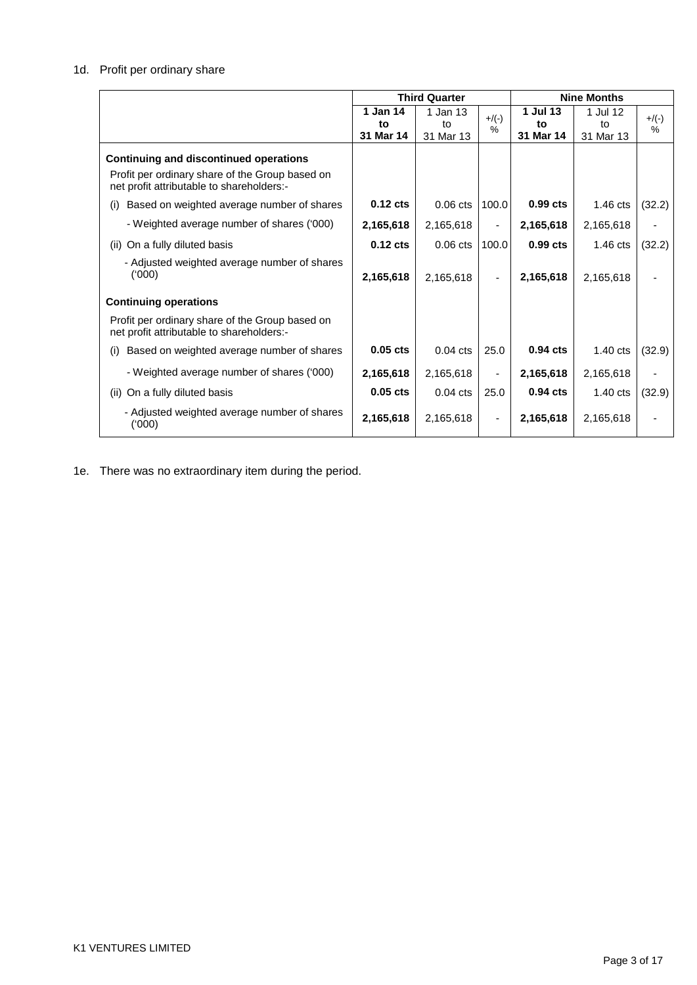## 1d. Profit per ordinary share

|                                                                                              |            | <b>Third Quarter</b> |                | <b>Nine Months</b> |                    |         |
|----------------------------------------------------------------------------------------------|------------|----------------------|----------------|--------------------|--------------------|---------|
|                                                                                              | 1 Jan 14   | 1 Jan 13             | $+/(-)$        | 1 Jul 13           | 1 Jul 12           | $+/(-)$ |
|                                                                                              | to         | to                   | $\frac{0}{6}$  | to                 | to                 | %       |
|                                                                                              | 31 Mar 14  | 31 Mar 13            |                | 31 Mar 14          | 31 Mar 13          |         |
| <b>Continuing and discontinued operations</b>                                                |            |                      |                |                    |                    |         |
| Profit per ordinary share of the Group based on<br>net profit attributable to shareholders:- |            |                      |                |                    |                    |         |
| Based on weighted average number of shares<br>(i)                                            | $0.12$ cts | $0.06$ cts           | 100.0          | $0.99$ cts         | $1.46$ cts         | (32.2)  |
| - Weighted average number of shares ('000)                                                   | 2,165,618  | 2,165,618            | $\blacksquare$ | 2,165,618          | 2,165,618          |         |
| On a fully diluted basis<br>(ii)                                                             | $0.12$ cts | $0.06 \text{ cts}$   | 100.0          | $0.99$ cts         | $1.46 \text{ cts}$ | (32.2)  |
| - Adjusted weighted average number of shares<br>(000)                                        | 2,165,618  | 2,165,618            |                | 2,165,618          | 2,165,618          |         |
| <b>Continuing operations</b>                                                                 |            |                      |                |                    |                    |         |
| Profit per ordinary share of the Group based on<br>net profit attributable to shareholders:- |            |                      |                |                    |                    |         |
| Based on weighted average number of shares<br>(i)                                            | $0.05$ cts | $0.04$ cts           | 25.0           | $0.94$ cts         | $1.40 \text{ cts}$ | (32.9)  |
| - Weighted average number of shares ('000)                                                   | 2,165,618  | 2,165,618            | $\blacksquare$ | 2,165,618          | 2,165,618          |         |
| On a fully diluted basis<br>(ii)                                                             | $0.05$ cts | $0.04$ cts           | 25.0           | $0.94$ cts         | $1.40 \text{ cts}$ | (32.9)  |
| - Adjusted weighted average number of shares<br>(000)                                        | 2,165,618  | 2,165,618            |                | 2,165,618          | 2,165,618          |         |

1e. There was no extraordinary item during the period.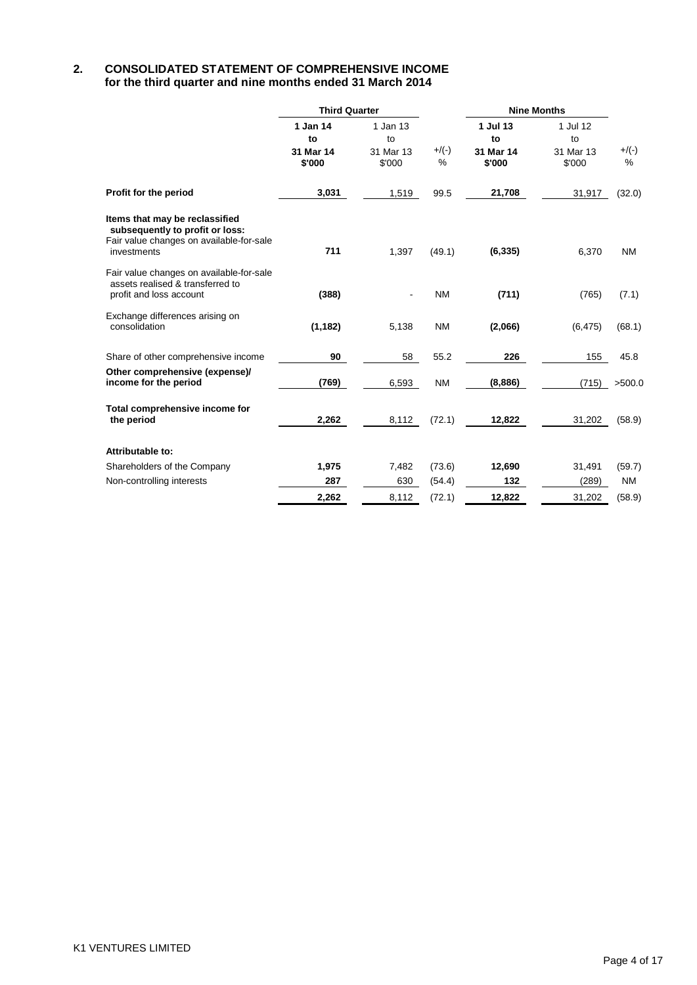### **2. CONSOLIDATED STATEMENT OF COMPREHENSIVE INCOME for the third quarter and nine months ended 31 March 2014**

|                                                                                                                              | <b>Third Quarter</b>                  |                                       |               | <b>Nine Months</b>                    |                                       |              |
|------------------------------------------------------------------------------------------------------------------------------|---------------------------------------|---------------------------------------|---------------|---------------------------------------|---------------------------------------|--------------|
|                                                                                                                              | 1 Jan 14<br>to<br>31 Mar 14<br>\$'000 | 1 Jan 13<br>to<br>31 Mar 13<br>\$'000 | $+$ /(-)<br>% | 1 Jul 13<br>to<br>31 Mar 14<br>\$'000 | 1 Jul 12<br>to<br>31 Mar 13<br>\$'000 | $+/(-)$<br>% |
| Profit for the period                                                                                                        | 3,031                                 | 1,519                                 | 99.5          | 21,708                                | 31,917                                | (32.0)       |
| Items that may be reclassified<br>subsequently to profit or loss:<br>Fair value changes on available-for-sale<br>investments | 711                                   | 1,397                                 | (49.1)        | (6, 335)                              | 6,370                                 | <b>NM</b>    |
| Fair value changes on available-for-sale<br>assets realised & transferred to<br>profit and loss account                      | (388)                                 |                                       | <b>NM</b>     | (711)                                 | (765)                                 | (7.1)        |
| Exchange differences arising on<br>consolidation                                                                             | (1, 182)                              | 5,138                                 | <b>NM</b>     | (2,066)                               | (6, 475)                              | (68.1)       |
| Share of other comprehensive income                                                                                          | 90                                    | 58                                    | 55.2          | 226                                   | 155                                   | 45.8         |
| Other comprehensive (expense)/<br>income for the period                                                                      | (769)                                 | 6,593                                 | <b>NM</b>     | (8,886)                               | (715)                                 | >500.0       |
| Total comprehensive income for<br>the period                                                                                 | 2,262                                 | 8,112                                 | (72.1)        | 12,822                                | 31,202                                | (58.9)       |
| Attributable to:                                                                                                             |                                       |                                       |               |                                       |                                       |              |
| Shareholders of the Company                                                                                                  | 1,975                                 | 7,482                                 | (73.6)        | 12,690                                | 31,491                                | (59.7)       |
| Non-controlling interests                                                                                                    | 287                                   | 630                                   | (54.4)        | 132                                   | (289)                                 | <b>NM</b>    |
|                                                                                                                              | 2,262                                 | 8,112                                 | (72.1)        | 12,822                                | 31,202                                | (58.9)       |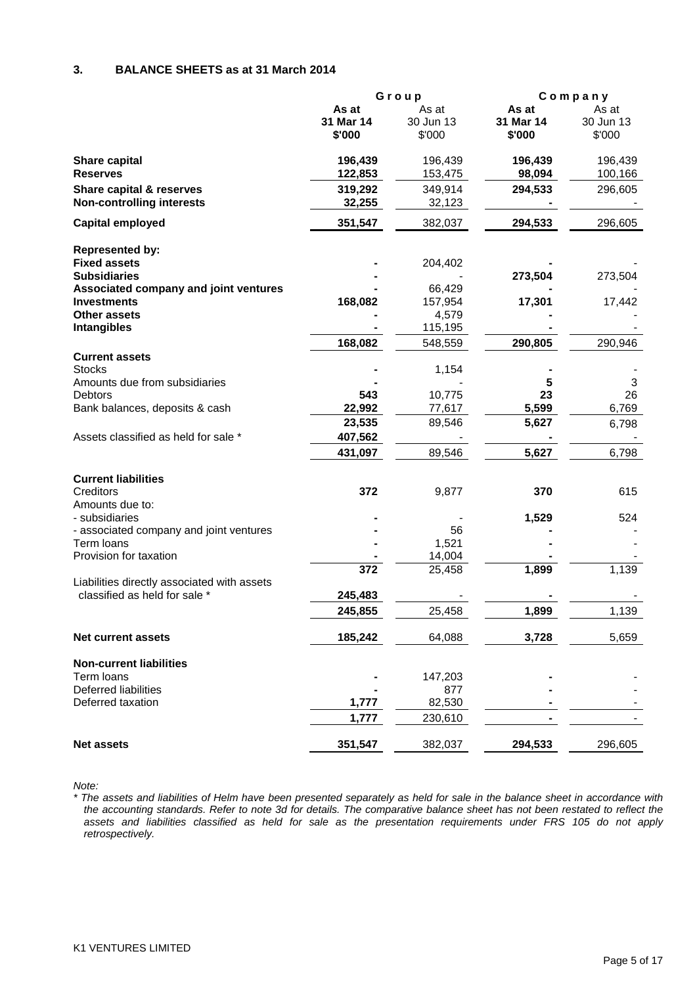### **3. BALANCE SHEETS as at 31 March 2014**

|                                                                                    | Group                        |                              |                              | Company                      |
|------------------------------------------------------------------------------------|------------------------------|------------------------------|------------------------------|------------------------------|
|                                                                                    | As at<br>31 Mar 14<br>\$'000 | As at<br>30 Jun 13<br>\$'000 | As at<br>31 Mar 14<br>\$'000 | As at<br>30 Jun 13<br>\$'000 |
| <b>Share capital</b><br><b>Reserves</b>                                            | 196,439<br>122,853           | 196,439<br>153,475           | 196,439<br>98,094            | 196,439<br>100,166           |
| Share capital & reserves<br><b>Non-controlling interests</b>                       | 319,292<br>32,255            | 349,914<br>32,123            | 294,533                      | 296,605                      |
| <b>Capital employed</b>                                                            | 351,547                      | 382,037                      | 294,533                      | 296,605                      |
| <b>Represented by:</b><br><b>Fixed assets</b>                                      |                              | 204,402                      |                              |                              |
| <b>Subsidiaries</b><br>Associated company and joint ventures<br><b>Investments</b> | 168,082                      | 66,429<br>157,954            | 273,504<br>17,301            | 273,504<br>17,442            |
| <b>Other assets</b><br><b>Intangibles</b>                                          |                              | 4,579<br>115,195             |                              |                              |
|                                                                                    | 168,082                      | 548,559                      | 290,805                      | 290,946                      |
| <b>Current assets</b><br><b>Stocks</b><br>Amounts due from subsidiaries            |                              | 1,154                        | 5                            | 3                            |
| Debtors<br>Bank balances, deposits & cash                                          | 543<br>22,992<br>23,535      | 10,775<br>77,617<br>89,546   | 23<br>5,599<br>5,627         | 26<br>6,769                  |
| Assets classified as held for sale *                                               | 407,562<br>431,097           | 89,546                       | 5,627                        | 6,798<br>6,798               |
| <b>Current liabilities</b>                                                         |                              |                              |                              |                              |
| Creditors<br>Amounts due to:<br>- subsidiaries                                     | 372                          | 9,877                        | 370<br>1,529                 | 615<br>524                   |
| - associated company and joint ventures<br>Term loans                              |                              | 56<br>1,521                  |                              |                              |
| Provision for taxation                                                             | 372                          | 14,004<br>25,458             | 1,899                        | 1,139                        |
| Liabilities directly associated with assets<br>classified as held for sale *       | 245,483<br>245,855           | 25,458                       | 1,899                        | 1,139                        |
| <b>Net current assets</b>                                                          | 185,242                      | 64,088                       | 3,728                        | 5,659                        |
| <b>Non-current liabilities</b>                                                     |                              |                              |                              |                              |
| Term loans<br>Deferred liabilities                                                 |                              | 147,203<br>877               |                              |                              |
| Deferred taxation                                                                  | 1,777<br>1,777               | 82,530<br>230,610            |                              |                              |
| <b>Net assets</b>                                                                  | 351,547                      | 382,037                      | 294,533                      | 296,605                      |

*Note:*

*\* The assets and liabilities of Helm have been presented separately as held for sale in the balance sheet in accordance with the accounting standards. Refer to note 3d for details. The comparative balance sheet has not been restated to reflect the assets and liabilities classified as held for sale as the presentation requirements under FRS 105 do not apply retrospectively.*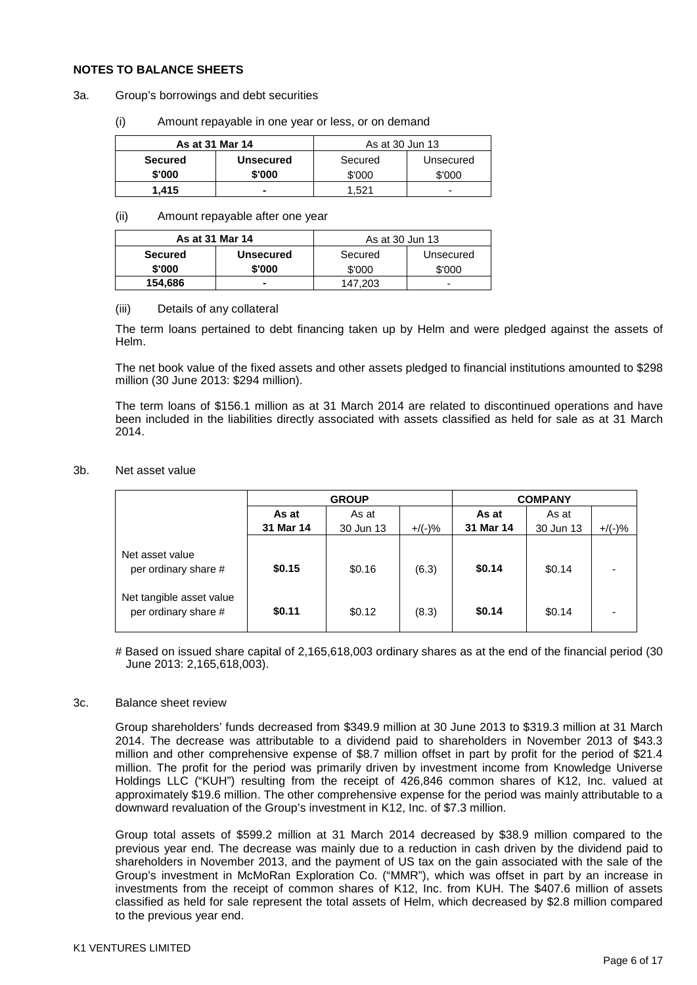### **NOTES TO BALANCE SHEETS**

#### 3a. Group's borrowings and debt securities

(i) Amount repayable in one year or less, or on demand

| As at 31 Mar 14 |           | As at 30 Jun 13 |           |  |
|-----------------|-----------|-----------------|-----------|--|
| <b>Secured</b>  | Unsecured | Secured         | Unsecured |  |
| \$'000          | \$'000    | \$'000          | \$'000    |  |
| 1.415           |           | 1.521           |           |  |

#### (ii) Amount repayable after one year

| As at 31 Mar 14 |                  | As at 30 Jun 13 |           |  |
|-----------------|------------------|-----------------|-----------|--|
| <b>Secured</b>  | <b>Unsecured</b> | Secured         | Unsecured |  |
| \$'000          | \$'000           | \$'000          | \$'000    |  |
| 154,686         |                  | 147.203         | -         |  |

#### (iii) Details of any collateral

The term loans pertained to debt financing taken up by Helm and were pledged against the assets of Helm.

The net book value of the fixed assets and other assets pledged to financial institutions amounted to \$298 million (30 June 2013: \$294 million).

The term loans of \$156.1 million as at 31 March 2014 are related to discontinued operations and have been included in the liabilities directly associated with assets classified as held for sale as at 31 March 2014.

#### 3b. Net asset value

|                                                  | <b>GROUP</b> |           |           | <b>COMPANY</b> |           |           |
|--------------------------------------------------|--------------|-----------|-----------|----------------|-----------|-----------|
|                                                  | As at        | As at     |           | As at          | As at     |           |
|                                                  | 31 Mar 14    | 30 Jun 13 | $+$ /(-)% | 31 Mar 14      | 30 Jun 13 | $+/(-)$ % |
| Net asset value<br>per ordinary share #          | \$0.15       | \$0.16    | (6.3)     | \$0.14         | \$0.14    |           |
| Net tangible asset value<br>per ordinary share # | \$0.11       | \$0.12    | (8.3)     | \$0.14         | \$0.14    |           |

# Based on issued share capital of 2,165,618,003 ordinary shares as at the end of the financial period (30 June 2013: 2,165,618,003).

#### 3c. Balance sheet review

Group shareholders' funds decreased from \$349.9 million at 30 June 2013 to \$319.3 million at 31 March 2014. The decrease was attributable to a dividend paid to shareholders in November 2013 of \$43.3 million and other comprehensive expense of \$8.7 million offset in part by profit for the period of \$21.4 million. The profit for the period was primarily driven by investment income from Knowledge Universe Holdings LLC ("KUH") resulting from the receipt of 426,846 common shares of K12, Inc. valued at approximately \$19.6 million. The other comprehensive expense for the period was mainly attributable to a downward revaluation of the Group's investment in K12, Inc. of \$7.3 million.

Group total assets of \$599.2 million at 31 March 2014 decreased by \$38.9 million compared to the previous year end. The decrease was mainly due to a reduction in cash driven by the dividend paid to shareholders in November 2013, and the payment of US tax on the gain associated with the sale of the Group's investment in McMoRan Exploration Co. ("MMR"), which was offset in part by an increase in investments from the receipt of common shares of K12, Inc. from KUH. The \$407.6 million of assets classified as held for sale represent the total assets of Helm, which decreased by \$2.8 million compared to the previous year end.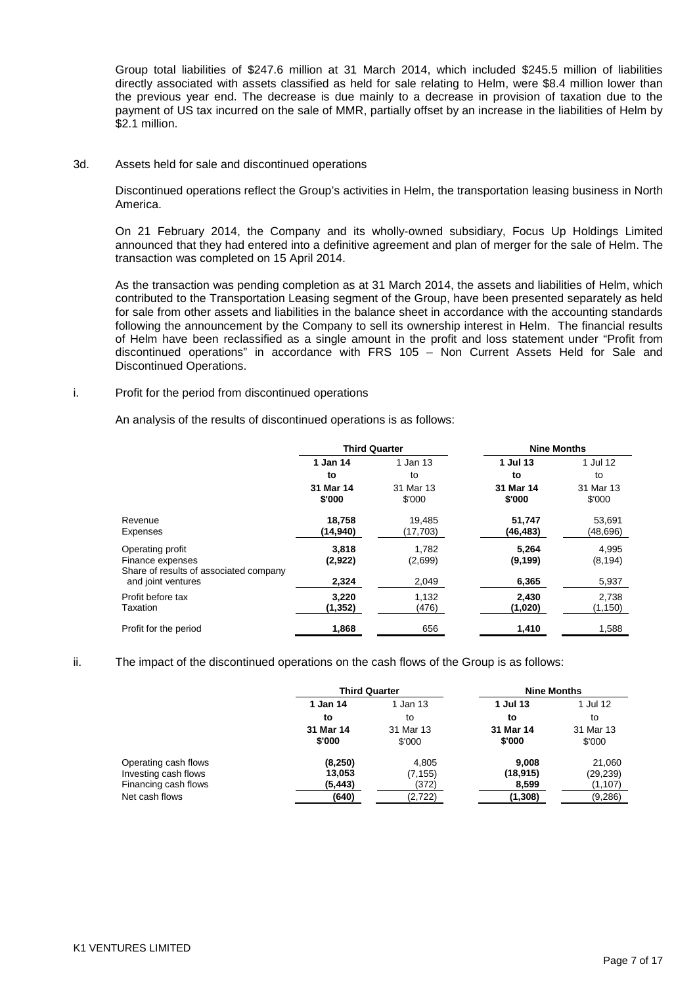Group total liabilities of \$247.6 million at 31 March 2014, which included \$245.5 million of liabilities directly associated with assets classified as held for sale relating to Helm, were \$8.4 million lower than the previous year end. The decrease is due mainly to a decrease in provision of taxation due to the payment of US tax incurred on the sale of MMR, partially offset by an increase in the liabilities of Helm by \$2.1 million.

3d. Assets held for sale and discontinued operations

Discontinued operations reflect the Group's activities in Helm, the transportation leasing business in North America.

On 21 February 2014, the Company and its wholly-owned subsidiary, Focus Up Holdings Limited announced that they had entered into a definitive agreement and plan of merger for the sale of Helm. The transaction was completed on 15 April 2014.

As the transaction was pending completion as at 31 March 2014, the assets and liabilities of Helm, which contributed to the Transportation Leasing segment of the Group, have been presented separately as held for sale from other assets and liabilities in the balance sheet in accordance with the accounting standards following the announcement by the Company to sell its ownership interest in Helm. The financial results of Helm have been reclassified as a single amount in the profit and loss statement under "Profit from discontinued operations" in accordance with FRS 105 – Non Current Assets Held for Sale and Discontinued Operations.

i. Profit for the period from discontinued operations

An analysis of the results of discontinued operations is as follows:

|                                                                                | <b>Third Quarter</b> |                     | <b>Nine Months</b>  |                     |
|--------------------------------------------------------------------------------|----------------------|---------------------|---------------------|---------------------|
|                                                                                | 1 Jan 14             | 1 Jan 13            | 1 Jul 13            | 1 Jul 12            |
|                                                                                | to                   | to                  | to                  | to                  |
|                                                                                | 31 Mar 14<br>\$'000  | 31 Mar 13<br>\$'000 | 31 Mar 14<br>\$'000 | 31 Mar 13<br>\$'000 |
| Revenue<br>Expenses                                                            | 18,758<br>(14, 940)  | 19,485<br>(17, 703) | 51,747<br>(46,483)  | 53,691<br>(48,696)  |
| Operating profit<br>Finance expenses<br>Share of results of associated company | 3,818<br>(2,922)     | 1.782<br>(2,699)    | 5,264<br>(9, 199)   | 4.995<br>(8, 194)   |
| and joint ventures                                                             | 2,324                | 2,049               | 6,365               | 5,937               |
| Profit before tax<br>Taxation                                                  | 3,220<br>(1,352)     | 1,132<br>(476)      | 2,430<br>(1,020)    | 2,738<br>(1, 150)   |
| Profit for the period                                                          | 1,868                | 656                 | 1,410               | 1,588               |

ii. The impact of the discontinued operations on the cash flows of the Group is as follows:

|                                                                                        | <b>Third Quarter</b>                   |                                       | <b>Nine Months</b>                     |                                            |  |
|----------------------------------------------------------------------------------------|----------------------------------------|---------------------------------------|----------------------------------------|--------------------------------------------|--|
|                                                                                        | 1 Jan 14                               | 1 Jan 13                              | 1 Jul 13                               | 1 Jul 12                                   |  |
|                                                                                        | to                                     | to                                    | to                                     | to                                         |  |
|                                                                                        | 31 Mar 14<br>\$'000                    | 31 Mar 13<br>\$'000                   | 31 Mar 14<br>\$'000                    | 31 Mar 13<br>\$'000                        |  |
| Operating cash flows<br>Investing cash flows<br>Financing cash flows<br>Net cash flows | (8,250)<br>13,053<br>(5, 443)<br>(640) | 4,805<br>(7, 155)<br>(372)<br>(2,722) | 9.008<br>(18, 915)<br>8,599<br>(1,308) | 21,060<br>(29, 239)<br>(1, 107)<br>(9,286) |  |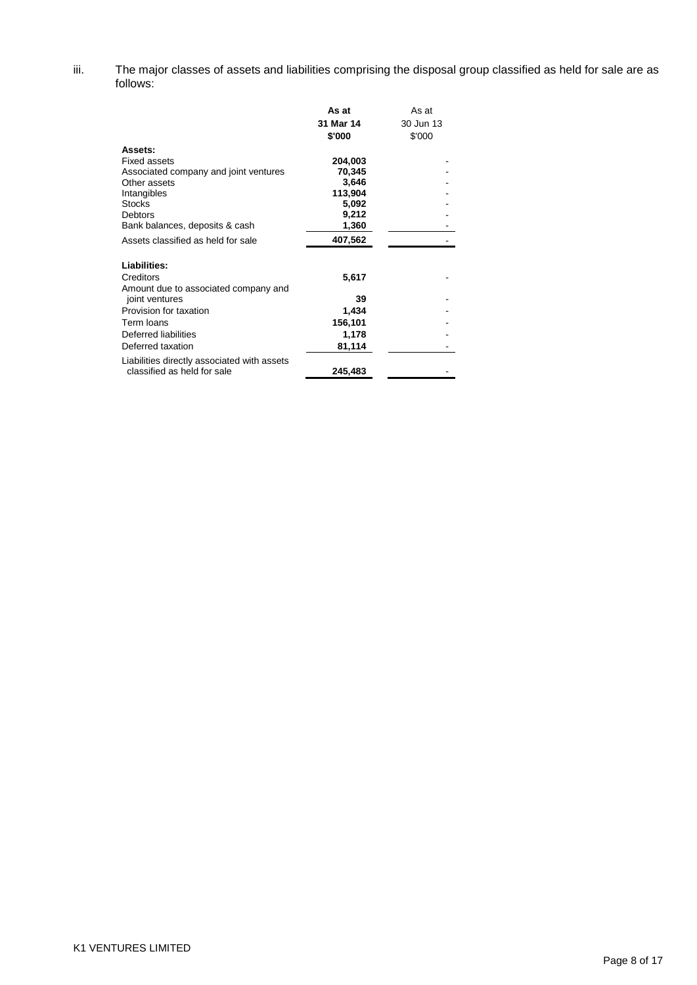iii. The major classes of assets and liabilities comprising the disposal group classified as held for sale are as follows:

|                                                                                                                                                                             | As at<br>31 Mar 14<br>\$'000                                     | As at<br>30 Jun 13<br>\$'000 |
|-----------------------------------------------------------------------------------------------------------------------------------------------------------------------------|------------------------------------------------------------------|------------------------------|
| Assets:<br><b>Fixed assets</b><br>Associated company and joint ventures<br>Other assets<br>Intangibles<br><b>Stocks</b><br><b>Debtors</b><br>Bank balances, deposits & cash | 204,003<br>70,345<br>3,646<br>113,904<br>5,092<br>9,212<br>1,360 |                              |
| Assets classified as held for sale                                                                                                                                          | 407,562                                                          |                              |
| Liabilities:<br>Creditors<br>Amount due to associated company and                                                                                                           | 5,617                                                            |                              |
| joint ventures                                                                                                                                                              | 39                                                               |                              |
| Provision for taxation                                                                                                                                                      | 1,434                                                            |                              |
| Term Ioans                                                                                                                                                                  | 156,101                                                          |                              |
| Deferred liabilities                                                                                                                                                        | 1,178                                                            |                              |
| Deferred taxation                                                                                                                                                           | 81,114                                                           |                              |
| Liabilities directly associated with assets<br>classified as held for sale                                                                                                  | 245,483                                                          |                              |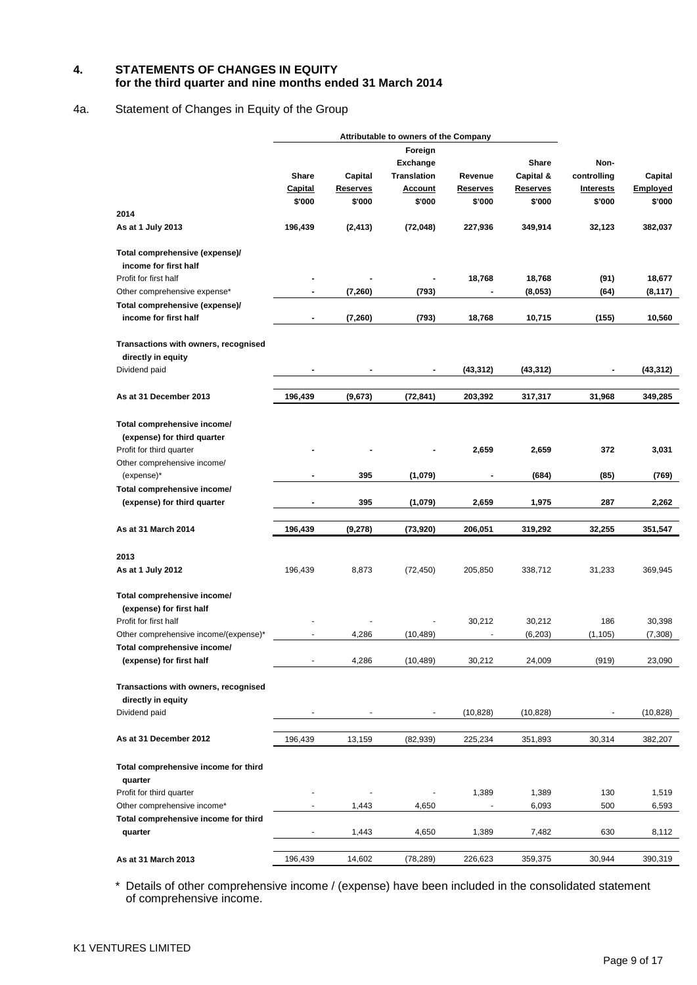## **4. STATEMENTS OF CHANGES IN EQUITY for the third quarter and nine months ended 31 March 2014**

## 4a. Statement of Changes in Equity of the Group

|                                       |                |                          | Attributable to owners of the Company |                 |                 |                          |           |
|---------------------------------------|----------------|--------------------------|---------------------------------------|-----------------|-----------------|--------------------------|-----------|
|                                       |                |                          | Foreign                               |                 |                 |                          |           |
|                                       |                |                          |                                       |                 |                 |                          |           |
|                                       |                |                          | Exchange                              |                 | Share           | Non-                     |           |
|                                       | Share          | Capital                  | <b>Translation</b>                    | Revenue         | Capital &       | controlling              | Capital   |
|                                       | <b>Capital</b> | <b>Reserves</b>          | Account                               | <b>Reserves</b> | <b>Reserves</b> | <b>Interests</b>         | Employed  |
|                                       | \$'000         | \$'000                   | \$'000                                | \$'000          | \$'000          | \$'000                   | \$'000    |
| 2014                                  |                |                          |                                       |                 |                 |                          |           |
| As at 1 July 2013                     | 196,439        | (2, 413)                 | (72, 048)                             | 227,936         | 349,914         | 32,123                   | 382,037   |
| Total comprehensive (expense)/        |                |                          |                                       |                 |                 |                          |           |
| income for first half                 |                |                          |                                       |                 |                 |                          |           |
| Profit for first half                 |                |                          |                                       | 18,768          | 18,768          | (91)                     | 18,677    |
| Other comprehensive expense*          | $\blacksquare$ | (7,260)                  | (793)                                 |                 | (8,053)         | (64)                     | (8, 117)  |
| Total comprehensive (expense)/        |                |                          |                                       |                 |                 |                          |           |
| income for first half                 | $\blacksquare$ | (7,260)                  | (793)                                 | 18,768          | 10,715          | (155)                    | 10,560    |
| Transactions with owners, recognised  |                |                          |                                       |                 |                 |                          |           |
| directly in equity                    |                |                          |                                       |                 |                 |                          |           |
| Dividend paid                         |                |                          | $\blacksquare$                        | (43, 312)       | (43, 312)       | $\blacksquare$           | (43, 312) |
|                                       |                |                          |                                       |                 |                 |                          |           |
| As at 31 December 2013                | 196,439        | (9,673)                  | (72, 841)                             | 203,392         | 317,317         | 31,968                   | 349,285   |
| Total comprehensive income/           |                |                          |                                       |                 |                 |                          |           |
| (expense) for third quarter           |                |                          |                                       |                 |                 |                          |           |
|                                       |                |                          |                                       |                 |                 |                          |           |
| Profit for third quarter              |                |                          |                                       | 2,659           | 2,659           | 372                      | 3,031     |
| Other comprehensive income/           |                |                          |                                       |                 |                 |                          |           |
| (expense)*                            |                | 395                      | (1,079)                               | $\blacksquare$  | (684)           | (85)                     | (769)     |
| Total comprehensive income/           |                |                          |                                       |                 |                 |                          |           |
| (expense) for third quarter           |                | 395                      | (1,079)                               | 2,659           | 1,975           | 287                      | 2,262     |
| As at 31 March 2014                   | 196,439        | (9,278)                  | (73,920)                              | 206,051         | 319,292         | 32,255                   | 351,547   |
|                                       |                |                          |                                       |                 |                 |                          |           |
| 2013                                  |                |                          |                                       |                 |                 |                          |           |
| As at 1 July 2012                     | 196,439        | 8,873                    | (72, 450)                             | 205,850         | 338,712         | 31,233                   | 369,945   |
| Total comprehensive income/           |                |                          |                                       |                 |                 |                          |           |
| (expense) for first half              |                |                          |                                       |                 |                 |                          |           |
| Profit for first half                 |                |                          |                                       | 30,212          | 30,212          | 186                      | 30,398    |
| Other comprehensive income/(expense)* |                | 4,286                    | (10, 489)                             |                 | (6, 203)        | (1, 105)                 | (7,308)   |
| Total comprehensive income/           |                |                          |                                       |                 |                 |                          |           |
| (expense) for first half              |                | 4,286                    | (10, 489)                             | 30,212          | 24,009          | (919)                    | 23,090    |
| Transactions with owners, recognised  |                |                          |                                       |                 |                 |                          |           |
| directly in equity                    |                |                          |                                       |                 |                 |                          |           |
| Dividend paid                         |                | $\overline{\phantom{a}}$ | $\blacksquare$                        | (10, 828)       | (10, 828)       | $\overline{\phantom{a}}$ | (10, 828) |
|                                       |                |                          |                                       |                 |                 |                          |           |
| As at 31 December 2012                | 196,439        | 13,159                   | (82, 939)                             | 225,234         | 351,893         | 30,314                   | 382,207   |
|                                       |                |                          |                                       |                 |                 |                          |           |
| Total comprehensive income for third  |                |                          |                                       |                 |                 |                          |           |
| quarter                               |                |                          |                                       |                 |                 |                          |           |
| Profit for third quarter              |                |                          |                                       | 1,389           | 1,389           | 130                      | 1,519     |
| Other comprehensive income*           |                | 1,443                    | 4,650                                 |                 | 6,093           | 500                      | 6,593     |
| Total comprehensive income for third  |                |                          |                                       |                 |                 |                          |           |
| quarter                               | $\blacksquare$ | 1,443                    | 4,650                                 | 1,389           | 7,482           | 630                      | 8,112     |
| As at 31 March 2013                   | 196,439        | 14,602                   | (78, 289)                             | 226,623         | 359,375         | 30,944                   | 390,319   |

\* Details of other comprehensive income / (expense) have been included in the consolidated statement of comprehensive income.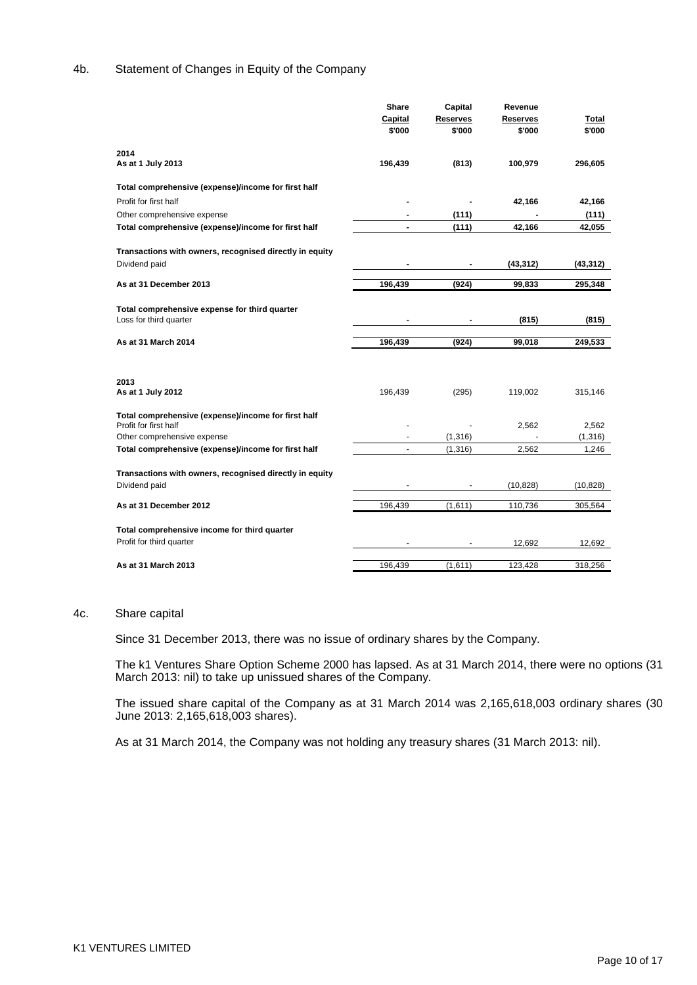## 4b. Statement of Changes in Equity of the Company

|                                                                              | Share          | Capital  | Revenue   |           |
|------------------------------------------------------------------------------|----------------|----------|-----------|-----------|
|                                                                              | <b>Capital</b> | Reserves | Reserves  | Total     |
|                                                                              | \$'000         | \$'000   | \$'000    | \$'000    |
|                                                                              |                |          |           |           |
| 2014                                                                         |                |          |           |           |
| As at 1 July 2013                                                            | 196,439        | (813)    | 100,979   | 296,605   |
| Total comprehensive (expense)/income for first half                          |                |          |           |           |
| Profit for first half                                                        |                |          | 42,166    | 42,166    |
| Other comprehensive expense                                                  |                | (111)    |           | (111)     |
|                                                                              | $\blacksquare$ | (111)    | 42,166    | 42,055    |
| Total comprehensive (expense)/income for first half                          |                |          |           |           |
| Transactions with owners, recognised directly in equity                      |                |          |           |           |
| Dividend paid                                                                |                |          | (43, 312) | (43, 312) |
|                                                                              |                |          |           |           |
| As at 31 December 2013                                                       | 196,439        | (924)    | 99,833    | 295,348   |
|                                                                              |                |          |           |           |
| Total comprehensive expense for third quarter                                |                |          |           |           |
| Loss for third quarter                                                       |                |          | (815)     | (815)     |
| As at 31 March 2014                                                          | 196,439        | (924)    | 99,018    | 249,533   |
|                                                                              |                |          |           |           |
|                                                                              |                |          |           |           |
| 2013                                                                         |                |          |           |           |
| As at 1 July 2012                                                            |                |          |           |           |
|                                                                              |                |          |           |           |
|                                                                              | 196,439        | (295)    | 119,002   | 315,146   |
|                                                                              |                |          |           |           |
| Total comprehensive (expense)/income for first half<br>Profit for first half |                |          | 2,562     | 2,562     |
| Other comprehensive expense                                                  |                | (1, 316) |           | (1, 316)  |
| Total comprehensive (expense)/income for first half                          |                | (1, 316) | 2,562     | 1,246     |
|                                                                              |                |          |           |           |
| Transactions with owners, recognised directly in equity                      |                |          |           |           |
| Dividend paid                                                                |                |          | (10, 828) | (10, 828) |
|                                                                              |                |          |           |           |
| As at 31 December 2012                                                       | 196,439        | (1,611)  | 110,736   | 305,564   |
|                                                                              |                |          |           |           |
| Total comprehensive income for third quarter                                 |                |          |           |           |
| Profit for third quarter                                                     |                |          | 12,692    | 12,692    |

#### 4c. Share capital

Since 31 December 2013, there was no issue of ordinary shares by the Company.

The k1 Ventures Share Option Scheme 2000 has lapsed. As at 31 March 2014, there were no options (31 March 2013: nil) to take up unissued shares of the Company.

The issued share capital of the Company as at 31 March 2014 was 2,165,618,003 ordinary shares (30 June 2013: 2,165,618,003 shares).

As at 31 March 2014, the Company was not holding any treasury shares (31 March 2013: nil).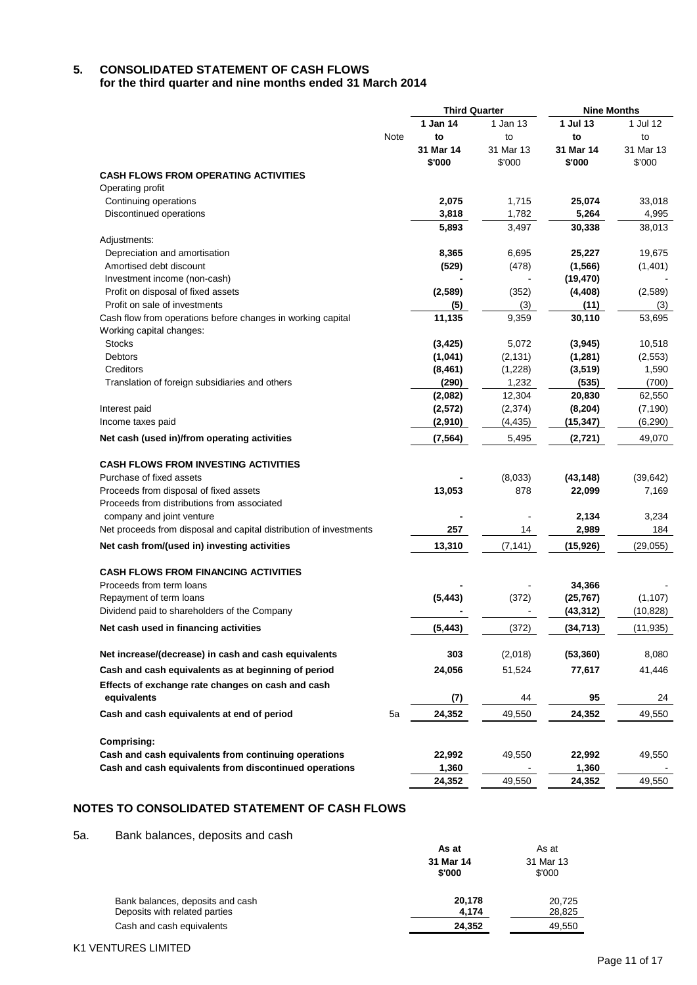# **5. CONSOLIDATED STATEMENT OF CASH FLOWS**

**for the third quarter and nine months ended 31 March 2014**

|                                                                                                 |      | <b>Third Quarter</b> |           | <b>Nine Months</b>  |              |
|-------------------------------------------------------------------------------------------------|------|----------------------|-----------|---------------------|--------------|
|                                                                                                 |      | 1 Jan 14             | 1 Jan 13  | 1 Jul 13            | 1 Jul 12     |
|                                                                                                 | Note | to                   | to        | to                  | to           |
|                                                                                                 |      | 31 Mar 14            | 31 Mar 13 | 31 Mar 14           | 31 Mar 13    |
|                                                                                                 |      | \$'000               | \$'000    | \$'000              | \$'000       |
| <b>CASH FLOWS FROM OPERATING ACTIVITIES</b>                                                     |      |                      |           |                     |              |
| Operating profit                                                                                |      |                      |           |                     |              |
| Continuing operations                                                                           |      | 2,075                | 1,715     | 25,074              | 33,018       |
| Discontinued operations                                                                         |      | 3,818                | 1,782     | 5,264               | 4,995        |
|                                                                                                 |      | 5,893                | 3,497     | 30,338              | 38,013       |
| Adjustments:                                                                                    |      |                      |           |                     |              |
| Depreciation and amortisation                                                                   |      | 8,365                | 6,695     | 25,227              | 19,675       |
| Amortised debt discount                                                                         |      | (529)                | (478)     | (1, 566)            | (1,401)      |
| Investment income (non-cash)                                                                    |      |                      |           | (19, 470)           |              |
| Profit on disposal of fixed assets                                                              |      | (2, 589)             | (352)     | (4, 408)            | (2,589)      |
| Profit on sale of investments                                                                   |      | (5)                  | (3)       | (11)                | (3)          |
| Cash flow from operations before changes in working capital                                     |      | 11,135               | 9,359     | 30,110              | 53,695       |
| Working capital changes:                                                                        |      |                      |           |                     |              |
| <b>Stocks</b>                                                                                   |      | (3, 425)             | 5,072     | (3,945)             | 10,518       |
| Debtors                                                                                         |      | (1,041)              | (2, 131)  | (1,281)             | (2, 553)     |
| Creditors                                                                                       |      | (8, 461)             | (1,228)   | (3, 519)            | 1,590        |
| Translation of foreign subsidiaries and others                                                  |      | (290)                | 1,232     | (535)               | (700)        |
|                                                                                                 |      | (2,082)              | 12,304    | 20,830              | 62,550       |
| Interest paid                                                                                   |      | (2, 572)             | (2, 374)  | (8, 204)            | (7, 190)     |
| Income taxes paid                                                                               |      | (2,910)              | (4, 435)  | (15, 347)           | (6, 290)     |
| Net cash (used in)/from operating activities                                                    |      | (7, 564)             | 5,495     | (2,721)             | 49,070       |
| <b>CASH FLOWS FROM INVESTING ACTIVITIES</b>                                                     |      |                      |           |                     |              |
| Purchase of fixed assets                                                                        |      |                      | (8,033)   |                     |              |
| Proceeds from disposal of fixed assets                                                          |      |                      | 878       | (43, 148)<br>22,099 | (39, 642)    |
| Proceeds from distributions from associated                                                     |      | 13,053               |           |                     | 7,169        |
|                                                                                                 |      |                      |           |                     |              |
| company and joint venture<br>Net proceeds from disposal and capital distribution of investments |      | 257                  | 14        | 2,134<br>2,989      | 3,234<br>184 |
| Net cash from/(used in) investing activities                                                    |      | 13,310               | (7, 141)  | (15,926)            | (29,055)     |
|                                                                                                 |      |                      |           |                     |              |
| <b>CASH FLOWS FROM FINANCING ACTIVITIES</b>                                                     |      |                      |           |                     |              |
| Proceeds from term loans                                                                        |      |                      |           | 34,366              |              |
| Repayment of term loans                                                                         |      | (5, 443)             | (372)     | (25, 767)           | (1, 107)     |
| Dividend paid to shareholders of the Company                                                    |      |                      |           | (43, 312)           | (10, 828)    |
| Net cash used in financing activities                                                           |      | (5, 443)             | (372)     | (34, 713)           | (11, 935)    |
| Net increase/(decrease) in cash and cash equivalents                                            |      | 303                  | (2,018)   | (53, 360)           | 8,080        |
| Cash and cash equivalents as at beginning of period                                             |      | 24,056               | 51,524    | 77,617              | 41,446       |
|                                                                                                 |      |                      |           |                     |              |
| Effects of exchange rate changes on cash and cash<br>equivalents                                |      | (7)                  | 44        | 95                  | 24           |
|                                                                                                 |      |                      |           |                     |              |
| Cash and cash equivalents at end of period                                                      | 5a   | 24,352               | 49,550    | 24,352              | 49,550       |
| <b>Comprising:</b>                                                                              |      |                      |           |                     |              |
| Cash and cash equivalents from continuing operations                                            |      | 22,992               | 49,550    | 22,992              | 49,550       |
| Cash and cash equivalents from discontinued operations                                          |      | 1,360                |           | 1,360               |              |
|                                                                                                 |      | 24,352               | 49,550    | 24,352              | 49,550       |

## **NOTES TO CONSOLIDATED STATEMENT OF CASH FLOWS**

5a. Bank balances, deposits and cash

|                                                                   | As at               | As at               |
|-------------------------------------------------------------------|---------------------|---------------------|
|                                                                   | 31 Mar 14<br>\$'000 | 31 Mar 13<br>\$'000 |
| Bank balances, deposits and cash<br>Deposits with related parties | 20.178<br>4.174     | 20.725<br>28,825    |
| Cash and cash equivalents                                         | 24.352              | 49,550              |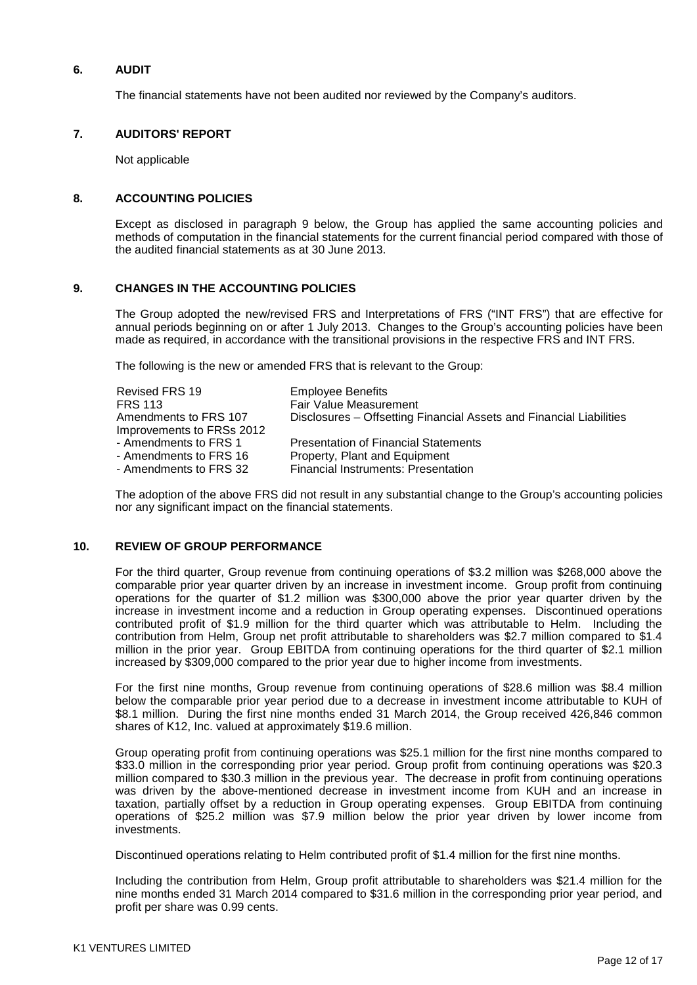## **6. AUDIT**

The financial statements have not been audited nor reviewed by the Company's auditors.

## **7. AUDITORS' REPORT**

Not applicable

### **8. ACCOUNTING POLICIES**

Except as disclosed in paragraph 9 below, the Group has applied the same accounting policies and methods of computation in the financial statements for the current financial period compared with those of the audited financial statements as at 30 June 2013.

## **9. CHANGES IN THE ACCOUNTING POLICIES**

The Group adopted the new/revised FRS and Interpretations of FRS ("INT FRS") that are effective for annual periods beginning on or after 1 July 2013. Changes to the Group's accounting policies have been made as required, in accordance with the transitional provisions in the respective FRS and INT FRS.

The following is the new or amended FRS that is relevant to the Group:

| Revised FRS 19<br><b>FRS 113</b>                   | <b>Employee Benefits</b><br><b>Fair Value Measurement</b>           |
|----------------------------------------------------|---------------------------------------------------------------------|
| Amendments to FRS 107<br>Improvements to FRSs 2012 | Disclosures – Offsetting Financial Assets and Financial Liabilities |
| - Amendments to FRS 1                              | <b>Presentation of Financial Statements</b>                         |
| - Amendments to FRS 16                             | Property, Plant and Equipment                                       |
| - Amendments to FRS 32                             | <b>Financial Instruments: Presentation</b>                          |

The adoption of the above FRS did not result in any substantial change to the Group's accounting policies nor any significant impact on the financial statements.

## **10. REVIEW OF GROUP PERFORMANCE**

For the third quarter, Group revenue from continuing operations of \$3.2 million was \$268,000 above the comparable prior year quarter driven by an increase in investment income. Group profit from continuing operations for the quarter of \$1.2 million was \$300,000 above the prior year quarter driven by the increase in investment income and a reduction in Group operating expenses. Discontinued operations contributed profit of \$1.9 million for the third quarter which was attributable to Helm. Including the contribution from Helm, Group net profit attributable to shareholders was \$2.7 million compared to \$1.4 million in the prior year. Group EBITDA from continuing operations for the third quarter of \$2.1 million increased by \$309,000 compared to the prior year due to higher income from investments.

For the first nine months, Group revenue from continuing operations of \$28.6 million was \$8.4 million below the comparable prior year period due to a decrease in investment income attributable to KUH of \$8.1 million. During the first nine months ended 31 March 2014, the Group received 426,846 common shares of K12, Inc. valued at approximately \$19.6 million.

Group operating profit from continuing operations was \$25.1 million for the first nine months compared to \$33.0 million in the corresponding prior year period. Group profit from continuing operations was \$20.3 million compared to \$30.3 million in the previous year. The decrease in profit from continuing operations was driven by the above-mentioned decrease in investment income from KUH and an increase in taxation, partially offset by a reduction in Group operating expenses. Group EBITDA from continuing operations of \$25.2 million was \$7.9 million below the prior year driven by lower income from investments.

Discontinued operations relating to Helm contributed profit of \$1.4 million for the first nine months.

Including the contribution from Helm, Group profit attributable to shareholders was \$21.4 million for the nine months ended 31 March 2014 compared to \$31.6 million in the corresponding prior year period, and profit per share was 0.99 cents.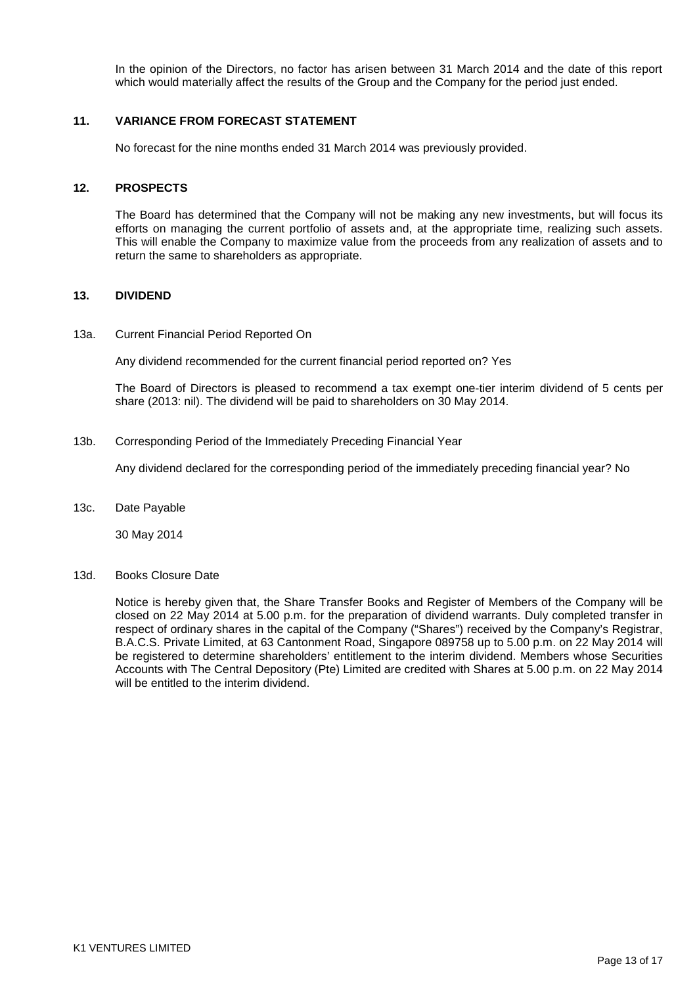In the opinion of the Directors, no factor has arisen between 31 March 2014 and the date of this report which would materially affect the results of the Group and the Company for the period just ended.

### **11. VARIANCE FROM FORECAST STATEMENT**

No forecast for the nine months ended 31 March 2014 was previously provided.

### **12. PROSPECTS**

The Board has determined that the Company will not be making any new investments, but will focus its efforts on managing the current portfolio of assets and, at the appropriate time, realizing such assets. This will enable the Company to maximize value from the proceeds from any realization of assets and to return the same to shareholders as appropriate.

### **13. DIVIDEND**

#### 13a. Current Financial Period Reported On

Any dividend recommended for the current financial period reported on? Yes

The Board of Directors is pleased to recommend a tax exempt one-tier interim dividend of 5 cents per share (2013: nil). The dividend will be paid to shareholders on 30 May 2014.

13b. Corresponding Period of the Immediately Preceding Financial Year

Any dividend declared for the corresponding period of the immediately preceding financial year? No

13c. Date Payable

30 May 2014

#### 13d. Books Closure Date

Notice is hereby given that, the Share Transfer Books and Register of Members of the Company will be closed on 22 May 2014 at 5.00 p.m. for the preparation of dividend warrants. Duly completed transfer in respect of ordinary shares in the capital of the Company ("Shares") received by the Company's Registrar, B.A.C.S. Private Limited, at 63 Cantonment Road, Singapore 089758 up to 5.00 p.m. on 22 May 2014 will be registered to determine shareholders' entitlement to the interim dividend. Members whose Securities Accounts with The Central Depository (Pte) Limited are credited with Shares at 5.00 p.m. on 22 May 2014 will be entitled to the interim dividend.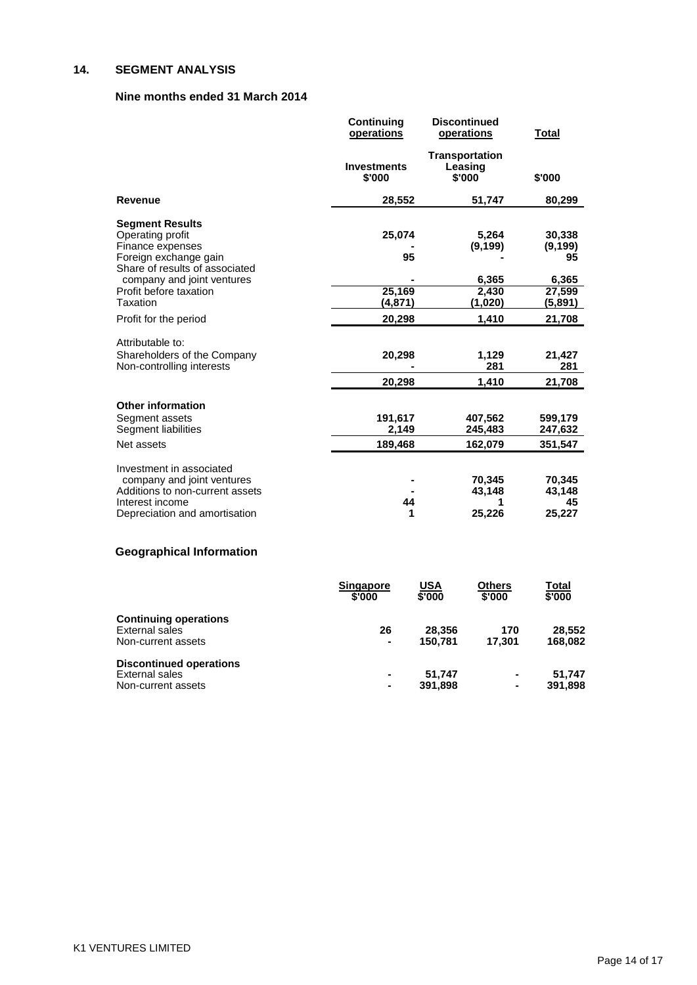## **14. SEGMENT ANALYSIS**

## **Nine months ended 31 March 2014**

|                                                                                                                                                         | Continuing<br>operations     | <b>Discontinued</b><br>operations          | <b>Total</b>                                |
|---------------------------------------------------------------------------------------------------------------------------------------------------------|------------------------------|--------------------------------------------|---------------------------------------------|
|                                                                                                                                                         | <b>Investments</b><br>\$'000 | <b>Transportation</b><br>Leasing<br>\$'000 | \$'000                                      |
| <b>Revenue</b>                                                                                                                                          | 28,552                       | 51,747                                     | 80,299                                      |
| <b>Segment Results</b><br>Operating profit<br>Finance expenses<br>Foreign exchange gain<br>Share of results of associated<br>company and joint ventures | 25,074<br>95                 | 5,264<br>(9, 199)<br>6,365                 | 30,338<br>(9, 199)<br>95<br>6,365           |
| Profit before taxation                                                                                                                                  | 25,169                       | 2,430                                      | 27,599                                      |
| Taxation                                                                                                                                                | (4,871)                      | (1,020)                                    | (5,891)                                     |
| Profit for the period                                                                                                                                   | 20,298                       | 1,410                                      | 21,708                                      |
| Attributable to:<br>Shareholders of the Company<br>Non-controlling interests                                                                            | 20,298<br>20,298             | 1,129<br>281<br>1,410                      | 21,427<br>281<br>21,708                     |
| <b>Other information</b><br>Segment assets<br>Segment liabilities<br>Net assets                                                                         | 191,617<br>2,149<br>189,468  | 407,562<br>245,483                         | 599,179<br>247,632                          |
| Investment in associated<br>company and joint ventures<br>Additions to non-current assets<br>Interest income<br>Depreciation and amortisation           | 44<br>1                      | 162,079<br>70,345<br>43,148<br>1<br>25,226 | 351,547<br>70,345<br>43,148<br>45<br>25,227 |
| <b>Geographical Information</b>                                                                                                                         |                              |                                            |                                             |
|                                                                                                                                                         | <b>Singapore</b>             | <b>USA</b><br><b>Others</b>                | Total                                       |

|                                | --------<br>\$'000 | $\sim$ $\sim$<br>\$'000 | ------<br>\$'000 | $\sim$<br>\$'000 |
|--------------------------------|--------------------|-------------------------|------------------|------------------|
| <b>Continuing operations</b>   |                    |                         |                  |                  |
| External sales                 | 26                 | 28,356                  | 170              | 28.552           |
| Non-current assets             | $\blacksquare$     | 150.781                 | 17.301           | 168.082          |
| <b>Discontinued operations</b> |                    |                         |                  |                  |
| External sales                 | $\blacksquare$     | 51.747                  | $\blacksquare$   | 51.747           |
| Non-current assets             |                    | 391.898                 | ٠                | 391,898          |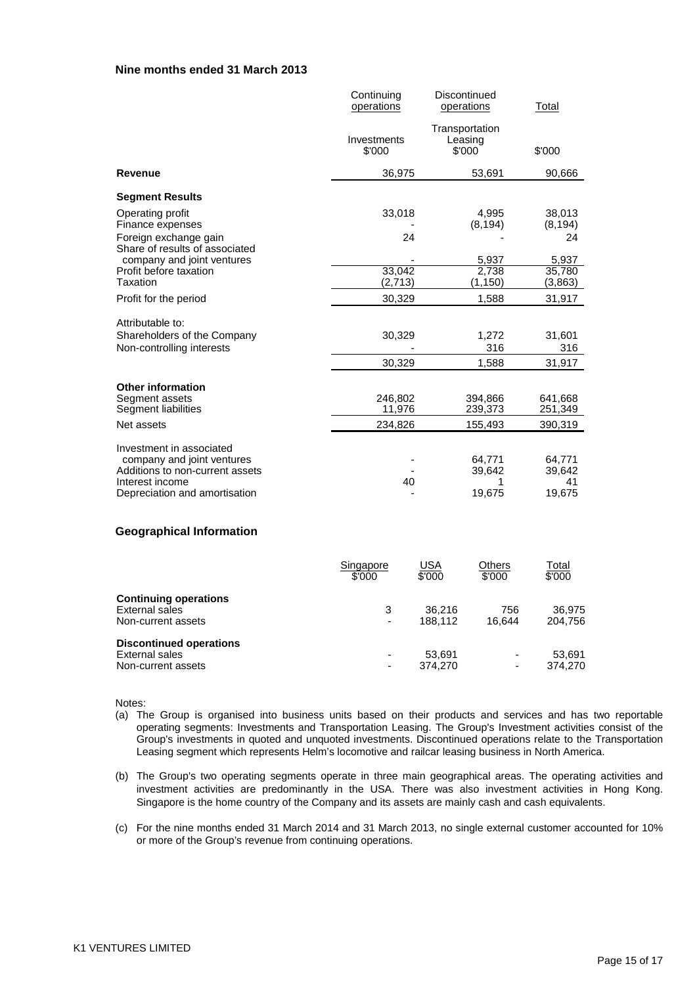### **Nine months ended 31 March 2013**

|                                                                                                                                               | Continuing<br>operations     | Discontinued<br>operations          | Total                            |
|-----------------------------------------------------------------------------------------------------------------------------------------------|------------------------------|-------------------------------------|----------------------------------|
|                                                                                                                                               | Investments<br>\$'000        | Transportation<br>Leasing<br>\$'000 | \$'000                           |
| <b>Revenue</b>                                                                                                                                | 36,975                       | 53,691                              | 90,666                           |
| <b>Segment Results</b>                                                                                                                        |                              |                                     |                                  |
| Operating profit<br>Finance expenses<br>Foreign exchange gain                                                                                 | 33,018<br>24                 | 4,995<br>(8, 194)                   | 38,013<br>(8, 194)<br>24         |
| Share of results of associated<br>company and joint ventures<br>Profit before taxation<br><b>Taxation</b>                                     | 33,042<br>(2,713)            | 5,937<br>2,738<br>(1, 150)          | 5,937<br>35,780<br>(3,863)       |
| Profit for the period                                                                                                                         | 30,329                       | 1,588                               | 31,917                           |
| Attributable to:<br>Shareholders of the Company<br>Non-controlling interests                                                                  | 30,329<br>30,329             | 1,272<br>316<br>1,588               | 31,601<br>316<br>31,917          |
| <b>Other information</b><br>Segment assets<br>Segment liabilities<br>Net assets                                                               | 246,802<br>11,976<br>234,826 | 394,866<br>239,373<br>155,493       | 641,668<br>251,349<br>390,319    |
| Investment in associated<br>company and joint ventures<br>Additions to non-current assets<br>Interest income<br>Depreciation and amortisation | 40                           | 64.771<br>39,642<br>1<br>19,675     | 64,771<br>39,642<br>41<br>19,675 |

### **Geographical Information**

|                                                | Singapore<br>\$'000 | USA<br>\$'000 | <b>Others</b><br>\$'000 | Total<br>\$'000 |
|------------------------------------------------|---------------------|---------------|-------------------------|-----------------|
| <b>Continuing operations</b><br>External sales | 3                   | 36.216        | 756                     | 36.975          |
| Non-current assets                             | $\overline{a}$      | 188.112       | 16.644                  | 204.756         |
| <b>Discontinued operations</b>                 |                     |               |                         |                 |
| External sales                                 | $\overline{a}$      | 53.691        |                         | 53.691          |
| Non-current assets                             | $\overline{a}$      | 374.270       |                         | 374.270         |

Notes:

- (a) The Group is organised into business units based on their products and services and has two reportable operating segments: Investments and Transportation Leasing. The Group's Investment activities consist of the Group's investments in quoted and unquoted investments. Discontinued operations relate to the Transportation Leasing segment which represents Helm's locomotive and railcar leasing business in North America.
- (b) The Group's two operating segments operate in three main geographical areas. The operating activities and investment activities are predominantly in the USA. There was also investment activities in Hong Kong. Singapore is the home country of the Company and its assets are mainly cash and cash equivalents.
- (c) For the nine months ended 31 March 2014 and 31 March 2013, no single external customer accounted for 10% or more of the Group's revenue from continuing operations.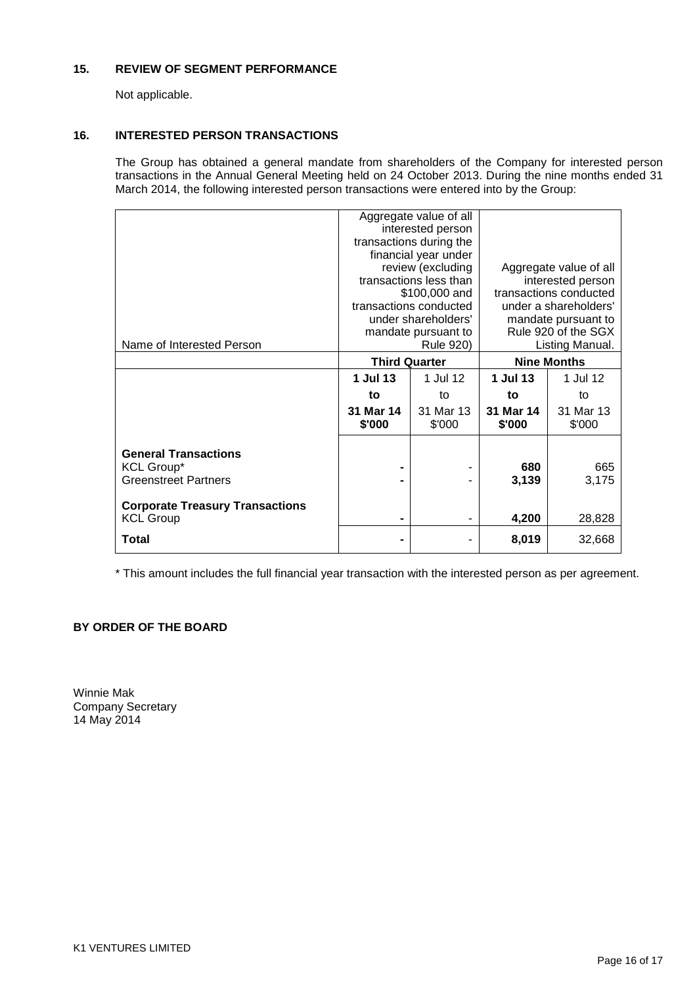## **15. REVIEW OF SEGMENT PERFORMANCE**

Not applicable.

## **16. INTERESTED PERSON TRANSACTIONS**

The Group has obtained a general mandate from shareholders of the Company for interested person transactions in the Annual General Meeting held on 24 October 2013. During the nine months ended 31 March 2014, the following interested person transactions were entered into by the Group:

|                      |           |                                                                                                                                                                                                                                                                       | Aggregate value of all          |
|----------------------|-----------|-----------------------------------------------------------------------------------------------------------------------------------------------------------------------------------------------------------------------------------------------------------------------|---------------------------------|
|                      |           |                                                                                                                                                                                                                                                                       | interested person               |
|                      |           |                                                                                                                                                                                                                                                                       |                                 |
|                      |           |                                                                                                                                                                                                                                                                       | under a shareholders'           |
|                      |           |                                                                                                                                                                                                                                                                       | mandate pursuant to             |
|                      |           | Rule 920 of the SGX                                                                                                                                                                                                                                                   |                                 |
|                      |           |                                                                                                                                                                                                                                                                       | Listing Manual.                 |
| <b>Third Quarter</b> |           | <b>Nine Months</b>                                                                                                                                                                                                                                                    |                                 |
| 1 Jul 13             | 1 Jul 12  | 1 Jul 13                                                                                                                                                                                                                                                              | 1 Jul 12                        |
| to                   | to        | to                                                                                                                                                                                                                                                                    | to                              |
| 31 Mar 14            | 31 Mar 13 | 31 Mar 14                                                                                                                                                                                                                                                             | 31 Mar 13                       |
| \$'000               | \$'000    | \$'000                                                                                                                                                                                                                                                                | \$'000                          |
|                      |           |                                                                                                                                                                                                                                                                       |                                 |
|                      |           |                                                                                                                                                                                                                                                                       |                                 |
| -                    | ۰         | 680                                                                                                                                                                                                                                                                   | 665                             |
|                      |           | 3,139                                                                                                                                                                                                                                                                 | 3,175                           |
|                      |           |                                                                                                                                                                                                                                                                       |                                 |
|                      |           |                                                                                                                                                                                                                                                                       |                                 |
| -                    |           |                                                                                                                                                                                                                                                                       | 28,828                          |
|                      |           | 8,019                                                                                                                                                                                                                                                                 | 32,668                          |
|                      |           | Aggregate value of all<br>interested person<br>transactions during the<br>financial year under<br>review (excluding<br>transactions less than<br>\$100,000 and<br>transactions conducted<br>under shareholders'<br>mandate pursuant to<br>Rule 920)<br>$\blacksquare$ | transactions conducted<br>4,200 |

\* This amount includes the full financial year transaction with the interested person as per agreement.

## **BY ORDER OF THE BOARD**

Winnie Mak Company Secretary 14 May 2014